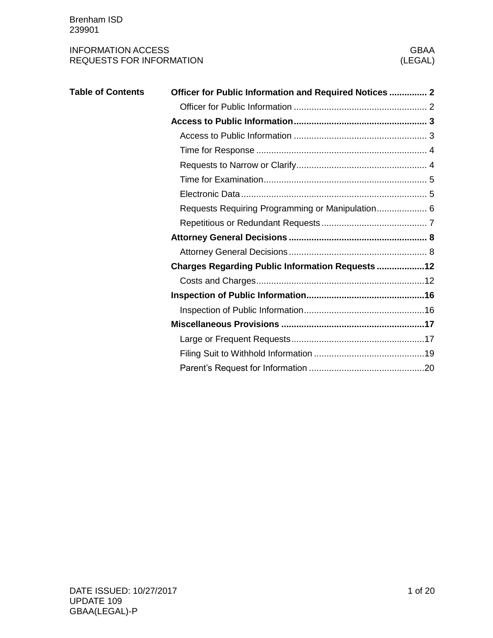| <b>Table of Contents</b> | Officer for Public Information and Required Notices  2  |
|--------------------------|---------------------------------------------------------|
|                          |                                                         |
|                          |                                                         |
|                          |                                                         |
|                          |                                                         |
|                          |                                                         |
|                          |                                                         |
|                          |                                                         |
|                          | Requests Requiring Programming or Manipulation 6        |
|                          |                                                         |
|                          |                                                         |
|                          |                                                         |
|                          | <b>Charges Regarding Public Information Requests 12</b> |
|                          |                                                         |
|                          |                                                         |
|                          |                                                         |
|                          |                                                         |
|                          |                                                         |
|                          |                                                         |
|                          |                                                         |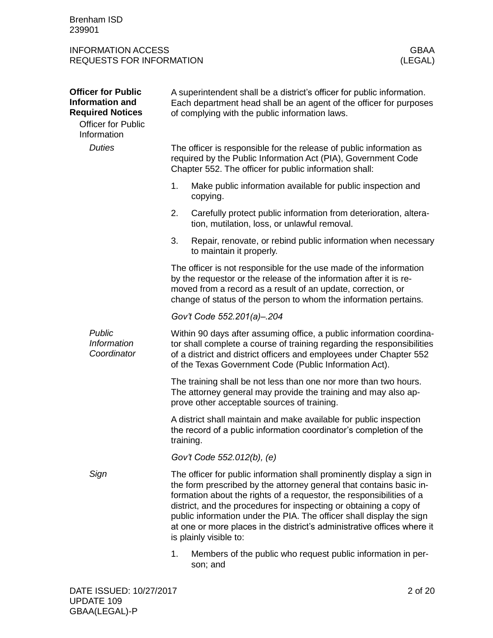Brenham ISD 239901

<span id="page-1-1"></span><span id="page-1-0"></span>

| <b>Officer for Public</b><br><b>Information and</b><br><b>Required Notices</b><br><b>Officer for Public</b><br>Information | A superintendent shall be a district's officer for public information.<br>Each department head shall be an agent of the officer for purposes<br>of complying with the public information laws.                                                                                                                                                                                                                                                                           |  |  |  |  |
|----------------------------------------------------------------------------------------------------------------------------|--------------------------------------------------------------------------------------------------------------------------------------------------------------------------------------------------------------------------------------------------------------------------------------------------------------------------------------------------------------------------------------------------------------------------------------------------------------------------|--|--|--|--|
| <b>Duties</b>                                                                                                              | The officer is responsible for the release of public information as<br>required by the Public Information Act (PIA), Government Code<br>Chapter 552. The officer for public information shall:                                                                                                                                                                                                                                                                           |  |  |  |  |
|                                                                                                                            | 1.<br>Make public information available for public inspection and<br>copying.                                                                                                                                                                                                                                                                                                                                                                                            |  |  |  |  |
|                                                                                                                            | 2.<br>Carefully protect public information from deterioration, altera-<br>tion, mutilation, loss, or unlawful removal.                                                                                                                                                                                                                                                                                                                                                   |  |  |  |  |
|                                                                                                                            | 3.<br>Repair, renovate, or rebind public information when necessary<br>to maintain it properly.                                                                                                                                                                                                                                                                                                                                                                          |  |  |  |  |
|                                                                                                                            | The officer is not responsible for the use made of the information<br>by the requestor or the release of the information after it is re-<br>moved from a record as a result of an update, correction, or<br>change of status of the person to whom the information pertains.                                                                                                                                                                                             |  |  |  |  |
|                                                                                                                            | Gov't Code 552.201(a)-.204                                                                                                                                                                                                                                                                                                                                                                                                                                               |  |  |  |  |
| Public<br><b>Information</b><br>Coordinator                                                                                | Within 90 days after assuming office, a public information coordina-<br>tor shall complete a course of training regarding the responsibilities<br>of a district and district officers and employees under Chapter 552<br>of the Texas Government Code (Public Information Act).                                                                                                                                                                                          |  |  |  |  |
|                                                                                                                            | The training shall be not less than one nor more than two hours.<br>The attorney general may provide the training and may also ap-<br>prove other acceptable sources of training.                                                                                                                                                                                                                                                                                        |  |  |  |  |
|                                                                                                                            | A district shall maintain and make available for public inspection<br>the record of a public information coordinator's completion of the<br>training.                                                                                                                                                                                                                                                                                                                    |  |  |  |  |
|                                                                                                                            | Gov't Code 552.012(b), (e)                                                                                                                                                                                                                                                                                                                                                                                                                                               |  |  |  |  |
| Sign                                                                                                                       | The officer for public information shall prominently display a sign in<br>the form prescribed by the attorney general that contains basic in-<br>formation about the rights of a requestor, the responsibilities of a<br>district, and the procedures for inspecting or obtaining a copy of<br>public information under the PIA. The officer shall display the sign<br>at one or more places in the district's administrative offices where it<br>is plainly visible to: |  |  |  |  |
|                                                                                                                            | 1.<br>Members of the public who request public information in per-<br>son; and                                                                                                                                                                                                                                                                                                                                                                                           |  |  |  |  |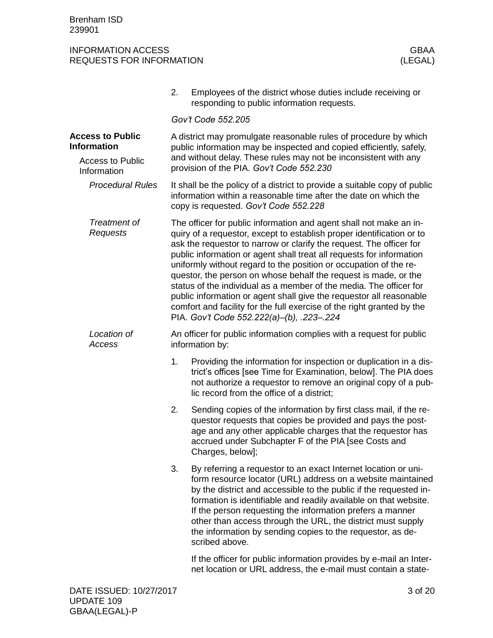<span id="page-2-1"></span><span id="page-2-0"></span>

|                                               | 2.                                                                                      | Employees of the district whose duties include receiving or<br>responding to public information requests.                                                                                                                                                                                                                                                                                                                                                                                                                                                                                                                                                                                              |  |  |  |  |
|-----------------------------------------------|-----------------------------------------------------------------------------------------|--------------------------------------------------------------------------------------------------------------------------------------------------------------------------------------------------------------------------------------------------------------------------------------------------------------------------------------------------------------------------------------------------------------------------------------------------------------------------------------------------------------------------------------------------------------------------------------------------------------------------------------------------------------------------------------------------------|--|--|--|--|
|                                               |                                                                                         | Gov't Code 552.205                                                                                                                                                                                                                                                                                                                                                                                                                                                                                                                                                                                                                                                                                     |  |  |  |  |
| <b>Access to Public</b><br><b>Information</b> |                                                                                         | A district may promulgate reasonable rules of procedure by which<br>public information may be inspected and copied efficiently, safely,                                                                                                                                                                                                                                                                                                                                                                                                                                                                                                                                                                |  |  |  |  |
| <b>Access to Public</b><br>Information        |                                                                                         | and without delay. These rules may not be inconsistent with any<br>provision of the PIA. Gov't Code 552.230                                                                                                                                                                                                                                                                                                                                                                                                                                                                                                                                                                                            |  |  |  |  |
| <b>Procedural Rules</b>                       |                                                                                         | It shall be the policy of a district to provide a suitable copy of public<br>information within a reasonable time after the date on which the<br>copy is requested. Gov't Code 552.228                                                                                                                                                                                                                                                                                                                                                                                                                                                                                                                 |  |  |  |  |
| Treatment of<br>Requests                      |                                                                                         | The officer for public information and agent shall not make an in-<br>quiry of a requestor, except to establish proper identification or to<br>ask the requestor to narrow or clarify the request. The officer for<br>public information or agent shall treat all requests for information<br>uniformly without regard to the position or occupation of the re-<br>questor, the person on whose behalf the request is made, or the<br>status of the individual as a member of the media. The officer for<br>public information or agent shall give the requestor all reasonable<br>comfort and facility for the full exercise of the right granted by the<br>PIA. Gov't Code 552.222(a)-(b), .223-.224 |  |  |  |  |
| Location of<br>Access                         | An officer for public information complies with a request for public<br>information by: |                                                                                                                                                                                                                                                                                                                                                                                                                                                                                                                                                                                                                                                                                                        |  |  |  |  |
|                                               | 1.                                                                                      | Providing the information for inspection or duplication in a dis-<br>trict's offices [see Time for Examination, below]. The PIA does<br>not authorize a requestor to remove an original copy of a pub-<br>lic record from the office of a district;                                                                                                                                                                                                                                                                                                                                                                                                                                                    |  |  |  |  |
|                                               | 2.                                                                                      | Sending copies of the information by first class mail, if the re-<br>questor requests that copies be provided and pays the post-<br>age and any other applicable charges that the requestor has<br>accrued under Subchapter F of the PIA [see Costs and<br>Charges, below];                                                                                                                                                                                                                                                                                                                                                                                                                            |  |  |  |  |
|                                               | 3.                                                                                      | By referring a requestor to an exact Internet location or uni-<br>form resource locator (URL) address on a website maintained<br>by the district and accessible to the public if the requested in-<br>formation is identifiable and readily available on that website.<br>If the person requesting the information prefers a manner<br>other than access through the URL, the district must supply<br>the information by sending copies to the requestor, as de-<br>scribed above.                                                                                                                                                                                                                     |  |  |  |  |
|                                               |                                                                                         | If the officer for public information provides by e-mail an Inter-<br>net location or URL address, the e-mail must contain a state-                                                                                                                                                                                                                                                                                                                                                                                                                                                                                                                                                                    |  |  |  |  |
|                                               |                                                                                         |                                                                                                                                                                                                                                                                                                                                                                                                                                                                                                                                                                                                                                                                                                        |  |  |  |  |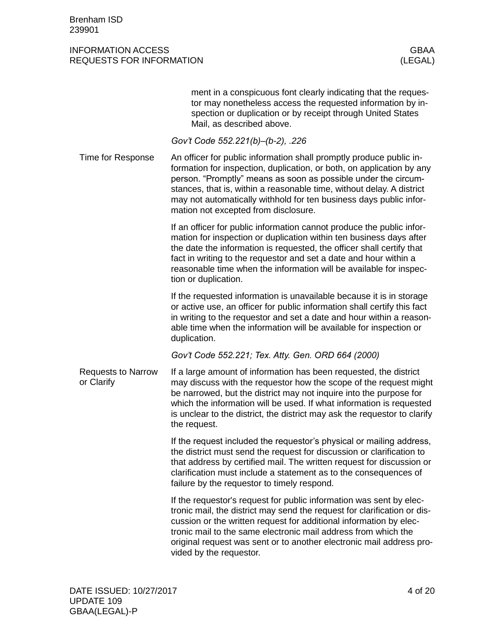<span id="page-3-1"></span><span id="page-3-0"></span>

|                                         | ment in a conspicuous font clearly indicating that the reques-<br>tor may nonetheless access the requested information by in-<br>spection or duplication or by receipt through United States<br>Mail, as described above.                                                                                                                                                                             |
|-----------------------------------------|-------------------------------------------------------------------------------------------------------------------------------------------------------------------------------------------------------------------------------------------------------------------------------------------------------------------------------------------------------------------------------------------------------|
|                                         | Gov't Code 552.221(b)–(b-2), .226                                                                                                                                                                                                                                                                                                                                                                     |
| Time for Response                       | An officer for public information shall promptly produce public in-<br>formation for inspection, duplication, or both, on application by any<br>person. "Promptly" means as soon as possible under the circum-<br>stances, that is, within a reasonable time, without delay. A district<br>may not automatically withhold for ten business days public infor-<br>mation not excepted from disclosure. |
|                                         | If an officer for public information cannot produce the public infor-<br>mation for inspection or duplication within ten business days after<br>the date the information is requested, the officer shall certify that<br>fact in writing to the requestor and set a date and hour within a<br>reasonable time when the information will be available for inspec-<br>tion or duplication.              |
|                                         | If the requested information is unavailable because it is in storage<br>or active use, an officer for public information shall certify this fact<br>in writing to the requestor and set a date and hour within a reason-<br>able time when the information will be available for inspection or<br>duplication.                                                                                        |
|                                         | Gov't Code 552.221; Tex. Atty. Gen. ORD 664 (2000)                                                                                                                                                                                                                                                                                                                                                    |
| <b>Requests to Narrow</b><br>or Clarify | If a large amount of information has been requested, the district<br>may discuss with the requestor how the scope of the request might<br>be narrowed, but the district may not inquire into the purpose for<br>which the information will be used. If what information is requested<br>is unclear to the district, the district may ask the requestor to clarify<br>the request.                     |
|                                         | If the request included the requestor's physical or mailing address,<br>the district must send the request for discussion or clarification to<br>that address by certified mail. The written request for discussion or<br>clarification must include a statement as to the consequences of<br>failure by the requestor to timely respond.                                                             |
|                                         | If the requestor's request for public information was sent by elec-<br>tronic mail, the district may send the request for clarification or dis-<br>cussion or the written request for additional information by elec-<br>tronic mail to the same electronic mail address from which the<br>original request was sent or to another electronic mail address pro-<br>vided by the requestor.            |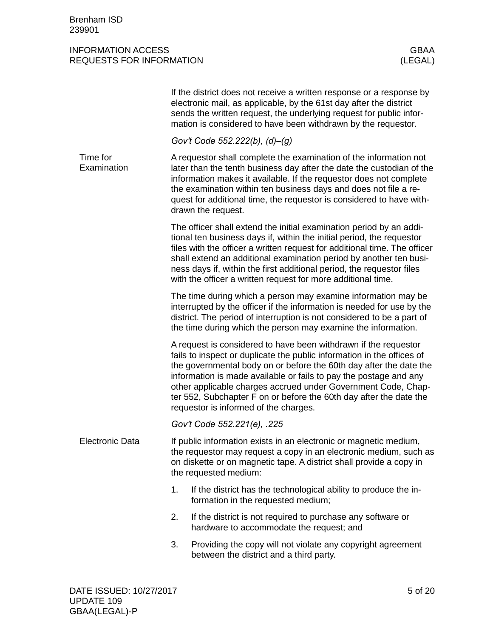<span id="page-4-1"></span><span id="page-4-0"></span>

|                         | If the district does not receive a written response or a response by<br>electronic mail, as applicable, by the 61st day after the district<br>sends the written request, the underlying request for public infor-<br>mation is considered to have been withdrawn by the requestor.                                                                                                                                                                                   |
|-------------------------|----------------------------------------------------------------------------------------------------------------------------------------------------------------------------------------------------------------------------------------------------------------------------------------------------------------------------------------------------------------------------------------------------------------------------------------------------------------------|
|                         | Gov't Code 552.222(b), (d)-(g)                                                                                                                                                                                                                                                                                                                                                                                                                                       |
| Time for<br>Examination | A requestor shall complete the examination of the information not<br>later than the tenth business day after the date the custodian of the<br>information makes it available. If the requestor does not complete<br>the examination within ten business days and does not file a re-<br>quest for additional time, the requestor is considered to have with-<br>drawn the request.                                                                                   |
|                         | The officer shall extend the initial examination period by an addi-<br>tional ten business days if, within the initial period, the requestor<br>files with the officer a written request for additional time. The officer<br>shall extend an additional examination period by another ten busi-<br>ness days if, within the first additional period, the requestor files<br>with the officer a written request for more additional time.                             |
|                         | The time during which a person may examine information may be<br>interrupted by the officer if the information is needed for use by the<br>district. The period of interruption is not considered to be a part of<br>the time during which the person may examine the information.                                                                                                                                                                                   |
|                         | A request is considered to have been withdrawn if the requestor<br>fails to inspect or duplicate the public information in the offices of<br>the governmental body on or before the 60th day after the date the<br>information is made available or fails to pay the postage and any<br>other applicable charges accrued under Government Code, Chap-<br>ter 552, Subchapter F on or before the 60th day after the date the<br>requestor is informed of the charges. |
|                         | Gov't Code 552.221(e), .225                                                                                                                                                                                                                                                                                                                                                                                                                                          |
| <b>Electronic Data</b>  | If public information exists in an electronic or magnetic medium,<br>the requestor may request a copy in an electronic medium, such as<br>on diskette or on magnetic tape. A district shall provide a copy in<br>the requested medium:                                                                                                                                                                                                                               |
|                         | 1.<br>If the district has the technological ability to produce the in-<br>formation in the requested medium;                                                                                                                                                                                                                                                                                                                                                         |
|                         | 2.<br>If the district is not required to purchase any software or<br>hardware to accommodate the request; and                                                                                                                                                                                                                                                                                                                                                        |
|                         | 3.<br>Providing the copy will not violate any copyright agreement<br>between the district and a third party.                                                                                                                                                                                                                                                                                                                                                         |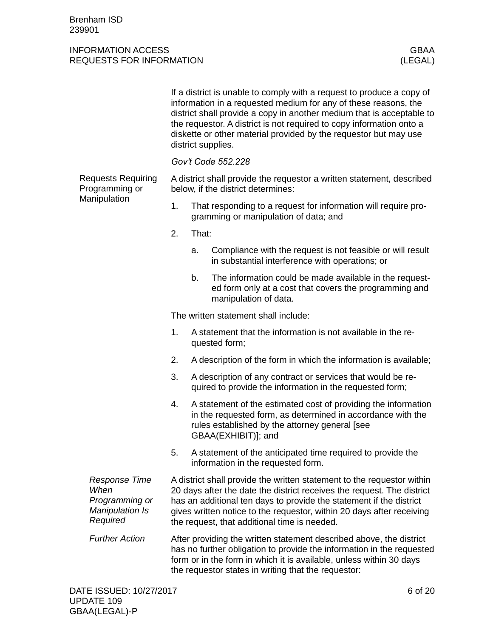<span id="page-5-0"></span>

|                                                                                      | If a district is unable to comply with a request to produce a copy of<br>information in a requested medium for any of these reasons, the<br>district shall provide a copy in another medium that is acceptable to<br>the requestor. A district is not required to copy information onto a<br>diskette or other material provided by the requestor but may use<br>district supplies. |       |                                                                                                                                                                                                        |  |  |
|--------------------------------------------------------------------------------------|-------------------------------------------------------------------------------------------------------------------------------------------------------------------------------------------------------------------------------------------------------------------------------------------------------------------------------------------------------------------------------------|-------|--------------------------------------------------------------------------------------------------------------------------------------------------------------------------------------------------------|--|--|
|                                                                                      | Gov't Code 552.228                                                                                                                                                                                                                                                                                                                                                                  |       |                                                                                                                                                                                                        |  |  |
| <b>Requests Requiring</b><br>Programming or                                          | A district shall provide the requestor a written statement, described<br>below, if the district determines:                                                                                                                                                                                                                                                                         |       |                                                                                                                                                                                                        |  |  |
| Manipulation                                                                         | 1.                                                                                                                                                                                                                                                                                                                                                                                  |       | That responding to a request for information will require pro-<br>gramming or manipulation of data; and                                                                                                |  |  |
|                                                                                      | 2.                                                                                                                                                                                                                                                                                                                                                                                  | That: |                                                                                                                                                                                                        |  |  |
|                                                                                      |                                                                                                                                                                                                                                                                                                                                                                                     | a.    | Compliance with the request is not feasible or will result<br>in substantial interference with operations; or                                                                                          |  |  |
|                                                                                      |                                                                                                                                                                                                                                                                                                                                                                                     | b.    | The information could be made available in the request-<br>ed form only at a cost that covers the programming and<br>manipulation of data.                                                             |  |  |
|                                                                                      | The written statement shall include:                                                                                                                                                                                                                                                                                                                                                |       |                                                                                                                                                                                                        |  |  |
|                                                                                      | 1.                                                                                                                                                                                                                                                                                                                                                                                  |       | A statement that the information is not available in the re-<br>quested form;                                                                                                                          |  |  |
|                                                                                      | 2.                                                                                                                                                                                                                                                                                                                                                                                  |       | A description of the form in which the information is available;                                                                                                                                       |  |  |
|                                                                                      | 3.                                                                                                                                                                                                                                                                                                                                                                                  |       | A description of any contract or services that would be re-<br>quired to provide the information in the requested form;                                                                                |  |  |
|                                                                                      | 4.                                                                                                                                                                                                                                                                                                                                                                                  |       | A statement of the estimated cost of providing the information<br>in the requested form, as determined in accordance with the<br>rules established by the attorney general [see<br>GBAA(EXHIBIT)]; and |  |  |
|                                                                                      | 5.                                                                                                                                                                                                                                                                                                                                                                                  |       | A statement of the anticipated time required to provide the<br>information in the requested form.                                                                                                      |  |  |
| <b>Response Time</b><br>When<br>Programming or<br><b>Manipulation Is</b><br>Required | A district shall provide the written statement to the requestor within<br>20 days after the date the district receives the request. The district<br>has an additional ten days to provide the statement if the district<br>gives written notice to the requestor, within 20 days after receiving<br>the request, that additional time is needed.                                    |       |                                                                                                                                                                                                        |  |  |
| <b>Further Action</b>                                                                | After providing the written statement described above, the district<br>has no further obligation to provide the information in the requested<br>form or in the form in which it is available, unless within 30 days<br>the requestor states in writing that the requestor:                                                                                                          |       |                                                                                                                                                                                                        |  |  |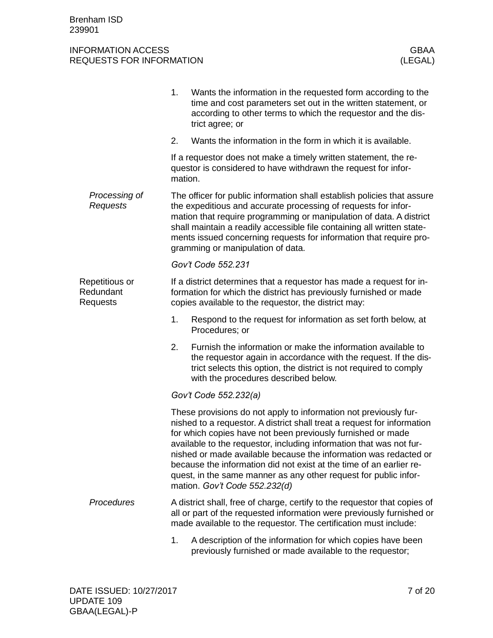<span id="page-6-0"></span>

|                                         | 1.                                                                                                                                                                                                                                                                                                                                                                                                                                                                                                                                | Wants the information in the requested form according to the<br>time and cost parameters set out in the written statement, or<br>according to other terms to which the requestor and the dis-<br>trict agree; or                             |  |  |  |
|-----------------------------------------|-----------------------------------------------------------------------------------------------------------------------------------------------------------------------------------------------------------------------------------------------------------------------------------------------------------------------------------------------------------------------------------------------------------------------------------------------------------------------------------------------------------------------------------|----------------------------------------------------------------------------------------------------------------------------------------------------------------------------------------------------------------------------------------------|--|--|--|
|                                         | 2.                                                                                                                                                                                                                                                                                                                                                                                                                                                                                                                                | Wants the information in the form in which it is available.                                                                                                                                                                                  |  |  |  |
|                                         | If a requestor does not make a timely written statement, the re-<br>questor is considered to have withdrawn the request for infor-<br>mation.                                                                                                                                                                                                                                                                                                                                                                                     |                                                                                                                                                                                                                                              |  |  |  |
| Processing of<br>Requests               | The officer for public information shall establish policies that assure<br>the expeditious and accurate processing of requests for infor-<br>mation that require programming or manipulation of data. A district<br>shall maintain a readily accessible file containing all written state-<br>ments issued concerning requests for information that require pro-<br>gramming or manipulation of data.                                                                                                                             |                                                                                                                                                                                                                                              |  |  |  |
|                                         |                                                                                                                                                                                                                                                                                                                                                                                                                                                                                                                                   | Gov't Code 552.231                                                                                                                                                                                                                           |  |  |  |
| Repetitious or<br>Redundant<br>Requests | If a district determines that a requestor has made a request for in-<br>formation for which the district has previously furnished or made<br>copies available to the requestor, the district may:                                                                                                                                                                                                                                                                                                                                 |                                                                                                                                                                                                                                              |  |  |  |
|                                         | 1.                                                                                                                                                                                                                                                                                                                                                                                                                                                                                                                                | Respond to the request for information as set forth below, at<br>Procedures; or                                                                                                                                                              |  |  |  |
|                                         | 2.                                                                                                                                                                                                                                                                                                                                                                                                                                                                                                                                | Furnish the information or make the information available to<br>the requestor again in accordance with the request. If the dis-<br>trict selects this option, the district is not required to comply<br>with the procedures described below. |  |  |  |
|                                         | Gov't Code 552.232(a)                                                                                                                                                                                                                                                                                                                                                                                                                                                                                                             |                                                                                                                                                                                                                                              |  |  |  |
|                                         | These provisions do not apply to information not previously fur-<br>nished to a requestor. A district shall treat a request for information<br>for which copies have not been previously furnished or made<br>available to the requestor, including information that was not fur-<br>nished or made available because the information was redacted or<br>because the information did not exist at the time of an earlier re-<br>quest, in the same manner as any other request for public infor-<br>mation. Gov't Code 552.232(d) |                                                                                                                                                                                                                                              |  |  |  |
| Procedures                              |                                                                                                                                                                                                                                                                                                                                                                                                                                                                                                                                   | A district shall, free of charge, certify to the requestor that copies of<br>all or part of the requested information were previously furnished or<br>made available to the requestor. The certification must include:                       |  |  |  |
|                                         | 1.                                                                                                                                                                                                                                                                                                                                                                                                                                                                                                                                | A description of the information for which copies have been<br>previously furnished or made available to the requestor;                                                                                                                      |  |  |  |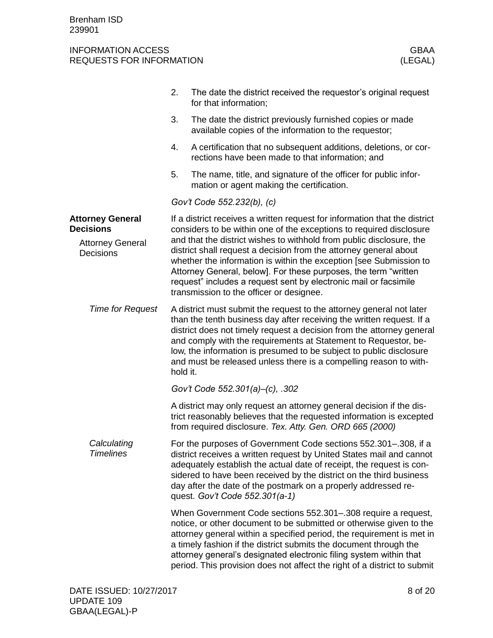<span id="page-7-1"></span><span id="page-7-0"></span>

|                                             | 2.                                                                                                                                                                                                                                                                                                                                                                                                                                                | The date the district received the requestor's original request<br>for that information;                                                                                                                                                                                                                                                                                                                                             |  |  |  |
|---------------------------------------------|---------------------------------------------------------------------------------------------------------------------------------------------------------------------------------------------------------------------------------------------------------------------------------------------------------------------------------------------------------------------------------------------------------------------------------------------------|--------------------------------------------------------------------------------------------------------------------------------------------------------------------------------------------------------------------------------------------------------------------------------------------------------------------------------------------------------------------------------------------------------------------------------------|--|--|--|
|                                             | 3.                                                                                                                                                                                                                                                                                                                                                                                                                                                | The date the district previously furnished copies or made<br>available copies of the information to the requestor;                                                                                                                                                                                                                                                                                                                   |  |  |  |
|                                             | 4.                                                                                                                                                                                                                                                                                                                                                                                                                                                | A certification that no subsequent additions, deletions, or cor-<br>rections have been made to that information; and                                                                                                                                                                                                                                                                                                                 |  |  |  |
|                                             | 5.                                                                                                                                                                                                                                                                                                                                                                                                                                                | The name, title, and signature of the officer for public infor-<br>mation or agent making the certification.                                                                                                                                                                                                                                                                                                                         |  |  |  |
|                                             |                                                                                                                                                                                                                                                                                                                                                                                                                                                   | Gov't Code 552.232(b), (c)                                                                                                                                                                                                                                                                                                                                                                                                           |  |  |  |
| <b>Attorney General</b><br><b>Decisions</b> |                                                                                                                                                                                                                                                                                                                                                                                                                                                   | If a district receives a written request for information that the district<br>considers to be within one of the exceptions to required disclosure                                                                                                                                                                                                                                                                                    |  |  |  |
| <b>Attorney General</b><br>Decisions        | and that the district wishes to withhold from public disclosure, the<br>district shall request a decision from the attorney general about<br>whether the information is within the exception [see Submission to<br>Attorney General, below]. For these purposes, the term "written<br>request" includes a request sent by electronic mail or facsimile<br>transmission to the officer or designee.                                                |                                                                                                                                                                                                                                                                                                                                                                                                                                      |  |  |  |
| <b>Time for Request</b>                     | A district must submit the request to the attorney general not later<br>than the tenth business day after receiving the written request. If a<br>district does not timely request a decision from the attorney general<br>and comply with the requirements at Statement to Requestor, be-<br>low, the information is presumed to be subject to public disclosure<br>and must be released unless there is a compelling reason to with-<br>hold it. |                                                                                                                                                                                                                                                                                                                                                                                                                                      |  |  |  |
|                                             |                                                                                                                                                                                                                                                                                                                                                                                                                                                   | Gov't Code 552.301(a)-(c), .302                                                                                                                                                                                                                                                                                                                                                                                                      |  |  |  |
|                                             |                                                                                                                                                                                                                                                                                                                                                                                                                                                   | A district may only request an attorney general decision if the dis-<br>trict reasonably believes that the requested information is excepted<br>from required disclosure. Tex. Atty. Gen. ORD 665 (2000)                                                                                                                                                                                                                             |  |  |  |
| Calculating<br><b>Timelines</b>             |                                                                                                                                                                                                                                                                                                                                                                                                                                                   | For the purposes of Government Code sections 552.301-.308, if a<br>district receives a written request by United States mail and cannot<br>adequately establish the actual date of receipt, the request is con-<br>sidered to have been received by the district on the third business<br>day after the date of the postmark on a properly addressed re-<br>quest. Gov't Code 552.301(a-1)                                           |  |  |  |
|                                             |                                                                                                                                                                                                                                                                                                                                                                                                                                                   | When Government Code sections 552.301-.308 require a request,<br>notice, or other document to be submitted or otherwise given to the<br>attorney general within a specified period, the requirement is met in<br>a timely fashion if the district submits the document through the<br>attorney general's designated electronic filing system within that<br>period. This provision does not affect the right of a district to submit |  |  |  |
|                                             |                                                                                                                                                                                                                                                                                                                                                                                                                                                   |                                                                                                                                                                                                                                                                                                                                                                                                                                      |  |  |  |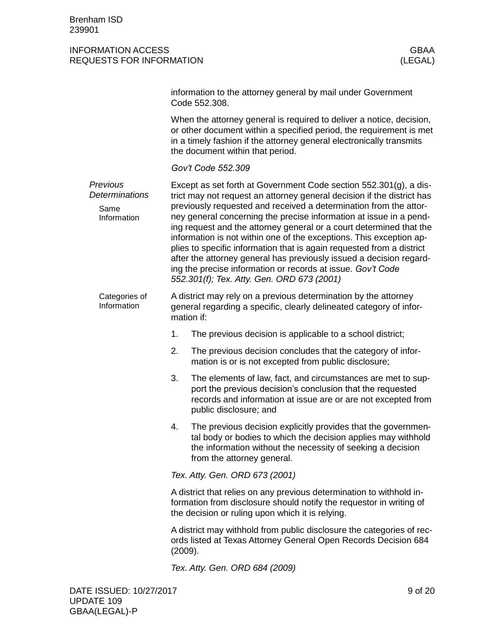|                                                   |         | information to the attorney general by mail under Government<br>Code 552,308.                                                                                                                                                                                                                                                                                                                                                                                                                                                                                                                                                                                                                     |  |  |  |
|---------------------------------------------------|---------|---------------------------------------------------------------------------------------------------------------------------------------------------------------------------------------------------------------------------------------------------------------------------------------------------------------------------------------------------------------------------------------------------------------------------------------------------------------------------------------------------------------------------------------------------------------------------------------------------------------------------------------------------------------------------------------------------|--|--|--|
|                                                   |         | When the attorney general is required to deliver a notice, decision,<br>or other document within a specified period, the requirement is met<br>in a timely fashion if the attorney general electronically transmits<br>the document within that period.                                                                                                                                                                                                                                                                                                                                                                                                                                           |  |  |  |
|                                                   |         | Gov't Code 552.309                                                                                                                                                                                                                                                                                                                                                                                                                                                                                                                                                                                                                                                                                |  |  |  |
| Previous<br>Determinations<br>Same<br>Information |         | Except as set forth at Government Code section 552.301(g), a dis-<br>trict may not request an attorney general decision if the district has<br>previously requested and received a determination from the attor-<br>ney general concerning the precise information at issue in a pend-<br>ing request and the attorney general or a court determined that the<br>information is not within one of the exceptions. This exception ap-<br>plies to specific information that is again requested from a district<br>after the attorney general has previously issued a decision regard-<br>ing the precise information or records at issue. Gov't Code<br>552.301(f); Tex. Atty. Gen. ORD 673 (2001) |  |  |  |
| Categories of<br>Information                      |         | A district may rely on a previous determination by the attorney<br>general regarding a specific, clearly delineated category of infor-<br>mation if:                                                                                                                                                                                                                                                                                                                                                                                                                                                                                                                                              |  |  |  |
|                                                   | 1.      | The previous decision is applicable to a school district;                                                                                                                                                                                                                                                                                                                                                                                                                                                                                                                                                                                                                                         |  |  |  |
|                                                   | 2.      | The previous decision concludes that the category of infor-<br>mation is or is not excepted from public disclosure;                                                                                                                                                                                                                                                                                                                                                                                                                                                                                                                                                                               |  |  |  |
|                                                   | 3.      | The elements of law, fact, and circumstances are met to sup-<br>port the previous decision's conclusion that the requested<br>records and information at issue are or are not excepted from<br>public disclosure; and                                                                                                                                                                                                                                                                                                                                                                                                                                                                             |  |  |  |
|                                                   | 4.      | The previous decision explicitly provides that the governmen-<br>tal body or bodies to which the decision applies may withhold<br>the information without the necessity of seeking a decision<br>from the attorney general.                                                                                                                                                                                                                                                                                                                                                                                                                                                                       |  |  |  |
|                                                   |         | Tex. Atty. Gen. ORD 673 (2001)                                                                                                                                                                                                                                                                                                                                                                                                                                                                                                                                                                                                                                                                    |  |  |  |
|                                                   |         | A district that relies on any previous determination to withhold in-<br>formation from disclosure should notify the requestor in writing of<br>the decision or ruling upon which it is relying.                                                                                                                                                                                                                                                                                                                                                                                                                                                                                                   |  |  |  |
|                                                   | (2009). | A district may withhold from public disclosure the categories of rec-<br>ords listed at Texas Attorney General Open Records Decision 684                                                                                                                                                                                                                                                                                                                                                                                                                                                                                                                                                          |  |  |  |
|                                                   |         | Tex. Atty. Gen. ORD 684 (2009)                                                                                                                                                                                                                                                                                                                                                                                                                                                                                                                                                                                                                                                                    |  |  |  |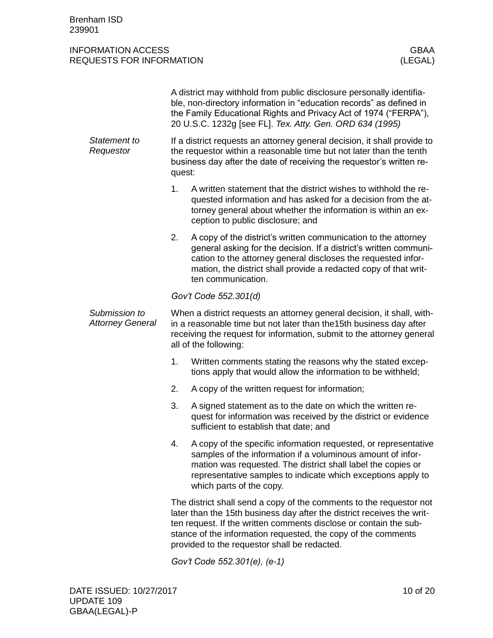|                                          | A district may withhold from public disclosure personally identifia-<br>ble, non-directory information in "education records" as defined in<br>the Family Educational Rights and Privacy Act of 1974 ("FERPA"),<br>20 U.S.C. 1232g [see FL]. Tex. Atty. Gen. ORD 634 (1995)                                                         |                                                                                                                                                                                                                                                                                                |  |  |
|------------------------------------------|-------------------------------------------------------------------------------------------------------------------------------------------------------------------------------------------------------------------------------------------------------------------------------------------------------------------------------------|------------------------------------------------------------------------------------------------------------------------------------------------------------------------------------------------------------------------------------------------------------------------------------------------|--|--|
| Statement to<br>Requestor                | If a district requests an attorney general decision, it shall provide to<br>the requestor within a reasonable time but not later than the tenth<br>business day after the date of receiving the requestor's written re-<br>quest:                                                                                                   |                                                                                                                                                                                                                                                                                                |  |  |
|                                          | 1.                                                                                                                                                                                                                                                                                                                                  | A written statement that the district wishes to withhold the re-<br>quested information and has asked for a decision from the at-<br>torney general about whether the information is within an ex-<br>ception to public disclosure; and                                                        |  |  |
|                                          | 2.                                                                                                                                                                                                                                                                                                                                  | A copy of the district's written communication to the attorney<br>general asking for the decision. If a district's written communi-<br>cation to the attorney general discloses the requested infor-<br>mation, the district shall provide a redacted copy of that writ-<br>ten communication. |  |  |
|                                          | Gov't Code 552.301(d)                                                                                                                                                                                                                                                                                                               |                                                                                                                                                                                                                                                                                                |  |  |
| Submission to<br><b>Attorney General</b> | When a district requests an attorney general decision, it shall, with-<br>in a reasonable time but not later than the 15th business day after<br>receiving the request for information, submit to the attorney general<br>all of the following:                                                                                     |                                                                                                                                                                                                                                                                                                |  |  |
|                                          | 1.                                                                                                                                                                                                                                                                                                                                  | Written comments stating the reasons why the stated excep-<br>tions apply that would allow the information to be withheld;                                                                                                                                                                     |  |  |
|                                          | 2.                                                                                                                                                                                                                                                                                                                                  | A copy of the written request for information;                                                                                                                                                                                                                                                 |  |  |
|                                          | 3.                                                                                                                                                                                                                                                                                                                                  | A signed statement as to the date on which the written re-<br>quest for information was received by the district or evidence<br>sufficient to establish that date; and                                                                                                                         |  |  |
|                                          | 4.                                                                                                                                                                                                                                                                                                                                  | A copy of the specific information requested, or representative<br>samples of the information if a voluminous amount of infor-<br>mation was requested. The district shall label the copies or<br>representative samples to indicate which exceptions apply to<br>which parts of the copy.     |  |  |
|                                          | The district shall send a copy of the comments to the requestor not<br>later than the 15th business day after the district receives the writ-<br>ten request. If the written comments disclose or contain the sub-<br>stance of the information requested, the copy of the comments<br>provided to the requestor shall be redacted. |                                                                                                                                                                                                                                                                                                |  |  |
|                                          | Gov't Code 552.301(e), (e-1)                                                                                                                                                                                                                                                                                                        |                                                                                                                                                                                                                                                                                                |  |  |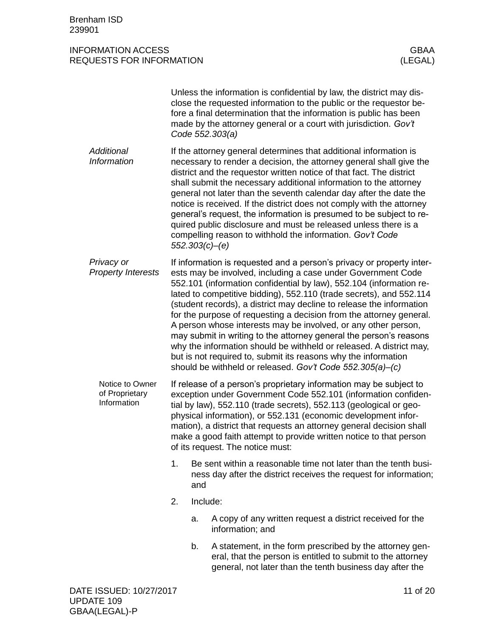|                                                  |                                                                                                                                                                                                                                                                                                                                                                                                                                                                |          | Unless the information is confidential by law, the district may dis-<br>close the requested information to the public or the requestor be-<br>fore a final determination that the information is public has been<br>made by the attorney general or a court with jurisdiction. Gov't<br>Code 552.303(a)                                                                                                                                                                                                                                                                                                                                                                                                                                                                          |
|--------------------------------------------------|----------------------------------------------------------------------------------------------------------------------------------------------------------------------------------------------------------------------------------------------------------------------------------------------------------------------------------------------------------------------------------------------------------------------------------------------------------------|----------|----------------------------------------------------------------------------------------------------------------------------------------------------------------------------------------------------------------------------------------------------------------------------------------------------------------------------------------------------------------------------------------------------------------------------------------------------------------------------------------------------------------------------------------------------------------------------------------------------------------------------------------------------------------------------------------------------------------------------------------------------------------------------------|
| <b>Additional</b><br><b>Information</b>          |                                                                                                                                                                                                                                                                                                                                                                                                                                                                |          | If the attorney general determines that additional information is<br>necessary to render a decision, the attorney general shall give the<br>district and the requestor written notice of that fact. The district<br>shall submit the necessary additional information to the attorney<br>general not later than the seventh calendar day after the date the<br>notice is received. If the district does not comply with the attorney<br>general's request, the information is presumed to be subject to re-<br>quired public disclosure and must be released unless there is a<br>compelling reason to withhold the information. Gov't Code<br>552.303(c)–(e)                                                                                                                    |
| Privacy or<br><b>Property Interests</b>          |                                                                                                                                                                                                                                                                                                                                                                                                                                                                |          | If information is requested and a person's privacy or property inter-<br>ests may be involved, including a case under Government Code<br>552.101 (information confidential by law), 552.104 (information re-<br>lated to competitive bidding), 552.110 (trade secrets), and 552.114<br>(student records), a district may decline to release the information<br>for the purpose of requesting a decision from the attorney general.<br>A person whose interests may be involved, or any other person,<br>may submit in writing to the attorney general the person's reasons<br>why the information should be withheld or released. A district may,<br>but is not required to, submit its reasons why the information<br>should be withheld or released. Gov't Code 552.305(a)-(c) |
| Notice to Owner<br>of Proprietary<br>Information | If release of a person's proprietary information may be subject to<br>exception under Government Code 552.101 (information confiden-<br>tial by law), 552.110 (trade secrets), 552.113 (geological or geo-<br>physical information), or 552.131 (economic development infor-<br>mation), a district that requests an attorney general decision shall<br>make a good faith attempt to provide written notice to that person<br>of its request. The notice must: |          |                                                                                                                                                                                                                                                                                                                                                                                                                                                                                                                                                                                                                                                                                                                                                                                  |
|                                                  | 1.                                                                                                                                                                                                                                                                                                                                                                                                                                                             | and      | Be sent within a reasonable time not later than the tenth busi-<br>ness day after the district receives the request for information;                                                                                                                                                                                                                                                                                                                                                                                                                                                                                                                                                                                                                                             |
|                                                  | 2.                                                                                                                                                                                                                                                                                                                                                                                                                                                             | Include: |                                                                                                                                                                                                                                                                                                                                                                                                                                                                                                                                                                                                                                                                                                                                                                                  |
|                                                  |                                                                                                                                                                                                                                                                                                                                                                                                                                                                | a.       | A copy of any written request a district received for the<br>information; and                                                                                                                                                                                                                                                                                                                                                                                                                                                                                                                                                                                                                                                                                                    |
|                                                  |                                                                                                                                                                                                                                                                                                                                                                                                                                                                | b.       | A statement, in the form prescribed by the attorney gen-<br>eral, that the person is entitled to submit to the attorney<br>general, not later than the tenth business day after the                                                                                                                                                                                                                                                                                                                                                                                                                                                                                                                                                                                              |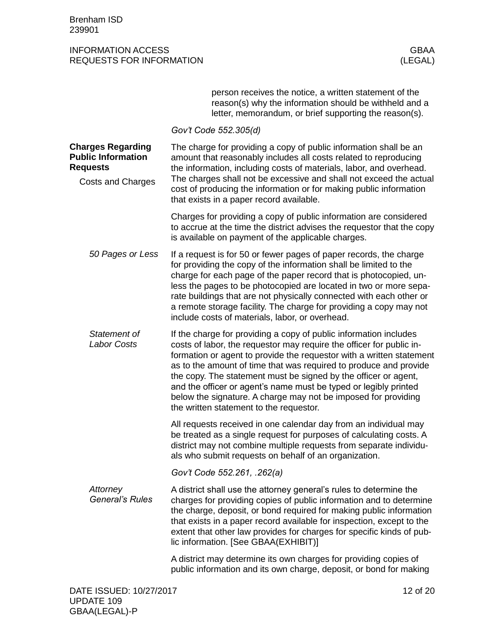<span id="page-11-1"></span><span id="page-11-0"></span>

|                                                                                                      | person receives the notice, a written statement of the<br>reason(s) why the information should be withheld and a<br>letter, memorandum, or brief supporting the reason(s).                                                                                                                                                                                                                                                                                                                                                                 |  |
|------------------------------------------------------------------------------------------------------|--------------------------------------------------------------------------------------------------------------------------------------------------------------------------------------------------------------------------------------------------------------------------------------------------------------------------------------------------------------------------------------------------------------------------------------------------------------------------------------------------------------------------------------------|--|
|                                                                                                      | Gov't Code 552.305(d)                                                                                                                                                                                                                                                                                                                                                                                                                                                                                                                      |  |
| <b>Charges Regarding</b><br><b>Public Information</b><br><b>Requests</b><br><b>Costs and Charges</b> | The charge for providing a copy of public information shall be an<br>amount that reasonably includes all costs related to reproducing<br>the information, including costs of materials, labor, and overhead.<br>The charges shall not be excessive and shall not exceed the actual<br>cost of producing the information or for making public information<br>that exists in a paper record available.                                                                                                                                       |  |
|                                                                                                      | Charges for providing a copy of public information are considered<br>to accrue at the time the district advises the requestor that the copy<br>is available on payment of the applicable charges.                                                                                                                                                                                                                                                                                                                                          |  |
| 50 Pages or Less                                                                                     | If a request is for 50 or fewer pages of paper records, the charge<br>for providing the copy of the information shall be limited to the<br>charge for each page of the paper record that is photocopied, un-<br>less the pages to be photocopied are located in two or more sepa-<br>rate buildings that are not physically connected with each other or<br>a remote storage facility. The charge for providing a copy may not<br>include costs of materials, labor, or overhead.                                                          |  |
| Statement of<br><b>Labor Costs</b>                                                                   | If the charge for providing a copy of public information includes<br>costs of labor, the requestor may require the officer for public in-<br>formation or agent to provide the requestor with a written statement<br>as to the amount of time that was required to produce and provide<br>the copy. The statement must be signed by the officer or agent,<br>and the officer or agent's name must be typed or legibly printed<br>below the signature. A charge may not be imposed for providing<br>the written statement to the requestor. |  |
|                                                                                                      | All requests received in one calendar day from an individual may<br>be treated as a single request for purposes of calculating costs. A<br>district may not combine multiple requests from separate individu-<br>als who submit requests on behalf of an organization.                                                                                                                                                                                                                                                                     |  |
|                                                                                                      | Gov't Code 552.261, .262(a)                                                                                                                                                                                                                                                                                                                                                                                                                                                                                                                |  |
| Attorney<br><b>General's Rules</b>                                                                   | A district shall use the attorney general's rules to determine the<br>charges for providing copies of public information and to determine<br>the charge, deposit, or bond required for making public information<br>that exists in a paper record available for inspection, except to the<br>extent that other law provides for charges for specific kinds of pub-<br>lic information. [See GBAA(EXHIBIT)]                                                                                                                                 |  |
|                                                                                                      | A district may determine its own charges for providing copies of<br>public information and its own charge, deposit, or bond for making                                                                                                                                                                                                                                                                                                                                                                                                     |  |
| DATE ISSUED: 10/27/2017                                                                              | 12 of 20                                                                                                                                                                                                                                                                                                                                                                                                                                                                                                                                   |  |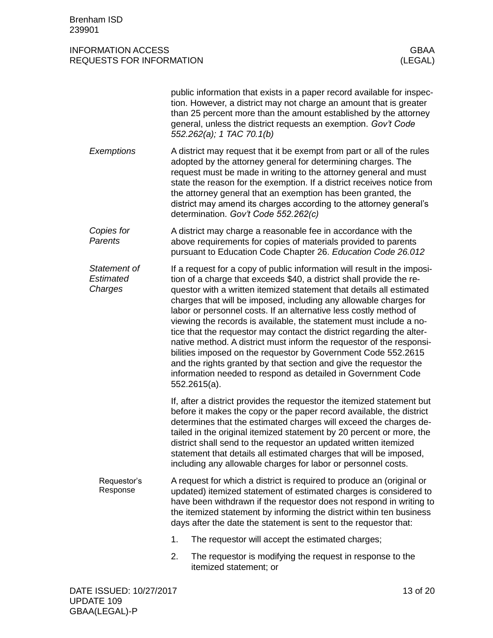|                                      | public information that exists in a paper record available for inspec-<br>tion. However, a district may not charge an amount that is greater<br>than 25 percent more than the amount established by the attorney<br>general, unless the district requests an exemption. Gov't Code<br>552.262(a); 1 TAC 70.1(b)                                                                                                                                                                                                                                                                                                                                                                                                                                                                                                    |  |  |  |  |
|--------------------------------------|--------------------------------------------------------------------------------------------------------------------------------------------------------------------------------------------------------------------------------------------------------------------------------------------------------------------------------------------------------------------------------------------------------------------------------------------------------------------------------------------------------------------------------------------------------------------------------------------------------------------------------------------------------------------------------------------------------------------------------------------------------------------------------------------------------------------|--|--|--|--|
| Exemptions                           | A district may request that it be exempt from part or all of the rules<br>adopted by the attorney general for determining charges. The<br>request must be made in writing to the attorney general and must<br>state the reason for the exemption. If a district receives notice from<br>the attorney general that an exemption has been granted, the<br>district may amend its charges according to the attorney general's<br>determination. Gov't Code 552.262(c)                                                                                                                                                                                                                                                                                                                                                 |  |  |  |  |
| Copies for<br><b>Parents</b>         | A district may charge a reasonable fee in accordance with the<br>above requirements for copies of materials provided to parents<br>pursuant to Education Code Chapter 26. Education Code 26.012                                                                                                                                                                                                                                                                                                                                                                                                                                                                                                                                                                                                                    |  |  |  |  |
| Statement of<br>Estimated<br>Charges | If a request for a copy of public information will result in the imposi-<br>tion of a charge that exceeds \$40, a district shall provide the re-<br>questor with a written itemized statement that details all estimated<br>charges that will be imposed, including any allowable charges for<br>labor or personnel costs. If an alternative less costly method of<br>viewing the records is available, the statement must include a no-<br>tice that the requestor may contact the district regarding the alter-<br>native method. A district must inform the requestor of the responsi-<br>bilities imposed on the requestor by Government Code 552.2615<br>and the rights granted by that section and give the requestor the<br>information needed to respond as detailed in Government Code<br>$552.2615(a)$ . |  |  |  |  |
|                                      | If, after a district provides the requestor the itemized statement but<br>before it makes the copy or the paper record available, the district<br>determines that the estimated charges will exceed the charges de-<br>tailed in the original itemized statement by 20 percent or more, the<br>district shall send to the requestor an updated written itemized<br>statement that details all estimated charges that will be imposed,<br>including any allowable charges for labor or personnel costs.                                                                                                                                                                                                                                                                                                             |  |  |  |  |
| Requestor's<br>Response              | A request for which a district is required to produce an (original or<br>updated) itemized statement of estimated charges is considered to<br>have been withdrawn if the requestor does not respond in writing to<br>the itemized statement by informing the district within ten business<br>days after the date the statement is sent to the requestor that:                                                                                                                                                                                                                                                                                                                                                                                                                                                      |  |  |  |  |
|                                      | 1.<br>The requestor will accept the estimated charges;                                                                                                                                                                                                                                                                                                                                                                                                                                                                                                                                                                                                                                                                                                                                                             |  |  |  |  |
|                                      | 2.<br>The requestor is modifying the request in response to the<br>itemized statement; or                                                                                                                                                                                                                                                                                                                                                                                                                                                                                                                                                                                                                                                                                                                          |  |  |  |  |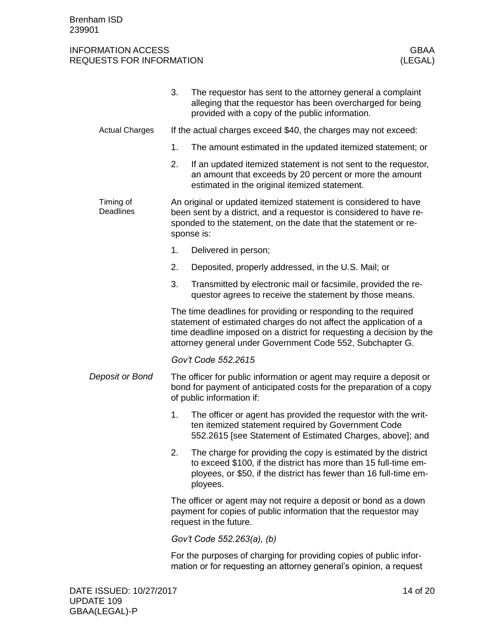|                               | 3.                                                                                                                                                                                                                                                                       | The requestor has sent to the attorney general a complaint<br>alleging that the requestor has been overcharged for being<br>provided with a copy of the public information.                                        |  |  |
|-------------------------------|--------------------------------------------------------------------------------------------------------------------------------------------------------------------------------------------------------------------------------------------------------------------------|--------------------------------------------------------------------------------------------------------------------------------------------------------------------------------------------------------------------|--|--|
| <b>Actual Charges</b>         | If the actual charges exceed \$40, the charges may not exceed:                                                                                                                                                                                                           |                                                                                                                                                                                                                    |  |  |
|                               | 1.                                                                                                                                                                                                                                                                       | The amount estimated in the updated itemized statement; or                                                                                                                                                         |  |  |
|                               | 2.                                                                                                                                                                                                                                                                       | If an updated itemized statement is not sent to the requestor,<br>an amount that exceeds by 20 percent or more the amount<br>estimated in the original itemized statement.                                         |  |  |
| Timing of<br><b>Deadlines</b> | An original or updated itemized statement is considered to have<br>been sent by a district, and a requestor is considered to have re-<br>sponded to the statement, on the date that the statement or re-<br>sponse is:                                                   |                                                                                                                                                                                                                    |  |  |
|                               | 1.                                                                                                                                                                                                                                                                       | Delivered in person;                                                                                                                                                                                               |  |  |
|                               | 2.                                                                                                                                                                                                                                                                       | Deposited, properly addressed, in the U.S. Mail; or                                                                                                                                                                |  |  |
|                               | 3.                                                                                                                                                                                                                                                                       | Transmitted by electronic mail or facsimile, provided the re-<br>questor agrees to receive the statement by those means.                                                                                           |  |  |
|                               | The time deadlines for providing or responding to the required<br>statement of estimated charges do not affect the application of a<br>time deadline imposed on a district for requesting a decision by the<br>attorney general under Government Code 552, Subchapter G. |                                                                                                                                                                                                                    |  |  |
|                               |                                                                                                                                                                                                                                                                          | Gov't Code 552.2615                                                                                                                                                                                                |  |  |
| Deposit or Bond               | The officer for public information or agent may require a deposit or<br>bond for payment of anticipated costs for the preparation of a copy<br>of public information if:                                                                                                 |                                                                                                                                                                                                                    |  |  |
|                               | 1.                                                                                                                                                                                                                                                                       | The officer or agent has provided the requestor with the writ-<br>ten itemized statement required by Government Code<br>552.2615 [see Statement of Estimated Charges, above]; and                                  |  |  |
|                               | 2.                                                                                                                                                                                                                                                                       | The charge for providing the copy is estimated by the district<br>to exceed \$100, if the district has more than 15 full-time em-<br>ployees, or \$50, if the district has fewer than 16 full-time em-<br>ployees. |  |  |
|                               | The officer or agent may not require a deposit or bond as a down<br>payment for copies of public information that the requestor may<br>request in the future.                                                                                                            |                                                                                                                                                                                                                    |  |  |
|                               | Gov't Code 552.263(a), (b)                                                                                                                                                                                                                                               |                                                                                                                                                                                                                    |  |  |
|                               |                                                                                                                                                                                                                                                                          | For the purposes of charging for providing copies of public infor-<br>mation or for requesting an attorney general's opinion, a request                                                                            |  |  |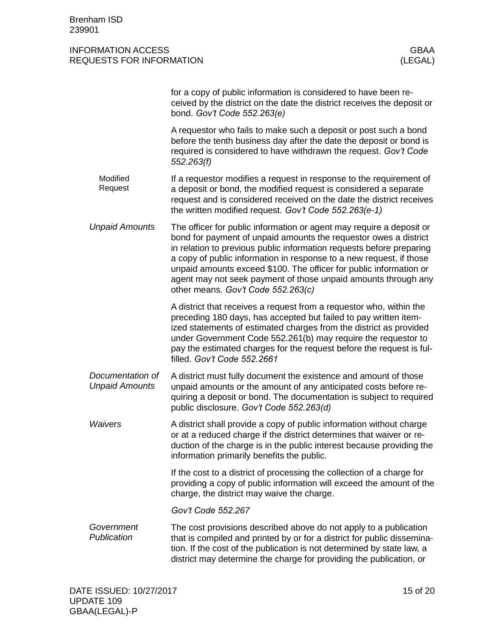|                                           | for a copy of public information is considered to have been re-<br>ceived by the district on the date the district receives the deposit or<br>bond. Gov't Code 552.263(e)                                                                                                                                                                                                                                                                                             |
|-------------------------------------------|-----------------------------------------------------------------------------------------------------------------------------------------------------------------------------------------------------------------------------------------------------------------------------------------------------------------------------------------------------------------------------------------------------------------------------------------------------------------------|
|                                           | A requestor who fails to make such a deposit or post such a bond<br>before the tenth business day after the date the deposit or bond is<br>required is considered to have withdrawn the request. Gov't Code<br>552.263(f)                                                                                                                                                                                                                                             |
| Modified<br>Request                       | If a requestor modifies a request in response to the requirement of<br>a deposit or bond, the modified request is considered a separate<br>request and is considered received on the date the district receives<br>the written modified request. Gov't Code 552.263(e-1)                                                                                                                                                                                              |
| <b>Unpaid Amounts</b>                     | The officer for public information or agent may require a deposit or<br>bond for payment of unpaid amounts the requestor owes a district<br>in relation to previous public information requests before preparing<br>a copy of public information in response to a new request, if those<br>unpaid amounts exceed \$100. The officer for public information or<br>agent may not seek payment of those unpaid amounts through any<br>other means. Gov't Code 552.263(c) |
|                                           | A district that receives a request from a requestor who, within the<br>preceding 180 days, has accepted but failed to pay written item-<br>ized statements of estimated charges from the district as provided<br>under Government Code 552.261(b) may require the requestor to<br>pay the estimated charges for the request before the request is ful-<br>filled. Gov't Code 552.2661                                                                                 |
| Documentation of<br><b>Unpaid Amounts</b> | A district must fully document the existence and amount of those<br>unpaid amounts or the amount of any anticipated costs before re-<br>quiring a deposit or bond. The documentation is subject to required<br>public disclosure. Gov't Code 552.263(d)                                                                                                                                                                                                               |
| <b>Waivers</b>                            | A district shall provide a copy of public information without charge<br>or at a reduced charge if the district determines that waiver or re-<br>duction of the charge is in the public interest because providing the<br>information primarily benefits the public.                                                                                                                                                                                                   |
|                                           | If the cost to a district of processing the collection of a charge for<br>providing a copy of public information will exceed the amount of the<br>charge, the district may waive the charge.                                                                                                                                                                                                                                                                          |
|                                           | Gov't Code 552.267                                                                                                                                                                                                                                                                                                                                                                                                                                                    |
| Government<br>Publication                 | The cost provisions described above do not apply to a publication<br>that is compiled and printed by or for a district for public dissemina-<br>tion. If the cost of the publication is not determined by state law, a<br>district may determine the charge for providing the publication, or                                                                                                                                                                         |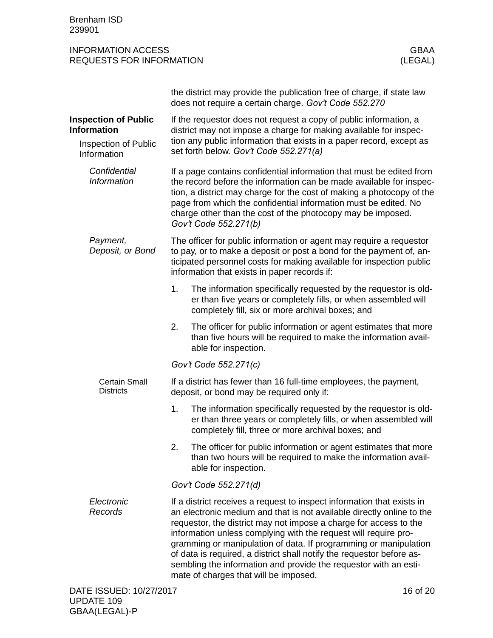<span id="page-15-1"></span><span id="page-15-0"></span>

|                                                   |                                                                                                                                                                                                                                                                                                                                                                                                                                                                                                                                                   | the district may provide the publication free of charge, if state law<br>does not require a certain charge. Gov't Code 552.270                                                           |  |  |
|---------------------------------------------------|---------------------------------------------------------------------------------------------------------------------------------------------------------------------------------------------------------------------------------------------------------------------------------------------------------------------------------------------------------------------------------------------------------------------------------------------------------------------------------------------------------------------------------------------------|------------------------------------------------------------------------------------------------------------------------------------------------------------------------------------------|--|--|
| <b>Inspection of Public</b><br><b>Information</b> |                                                                                                                                                                                                                                                                                                                                                                                                                                                                                                                                                   | If the requestor does not request a copy of public information, a<br>district may not impose a charge for making available for inspec-                                                   |  |  |
| Inspection of Public<br>Information               |                                                                                                                                                                                                                                                                                                                                                                                                                                                                                                                                                   | tion any public information that exists in a paper record, except as<br>set forth below. Gov't Code 552.271(a)                                                                           |  |  |
| Confidential<br><b>Information</b>                | If a page contains confidential information that must be edited from<br>the record before the information can be made available for inspec-<br>tion, a district may charge for the cost of making a photocopy of the<br>page from which the confidential information must be edited. No<br>charge other than the cost of the photocopy may be imposed.<br>Gov't Code 552.271(b)                                                                                                                                                                   |                                                                                                                                                                                          |  |  |
| Payment,<br>Deposit, or Bond                      | The officer for public information or agent may require a requestor<br>to pay, or to make a deposit or post a bond for the payment of, an-<br>ticipated personnel costs for making available for inspection public<br>information that exists in paper records if:                                                                                                                                                                                                                                                                                |                                                                                                                                                                                          |  |  |
|                                                   | 1.                                                                                                                                                                                                                                                                                                                                                                                                                                                                                                                                                | The information specifically requested by the requestor is old-<br>er than five years or completely fills, or when assembled will<br>completely fill, six or more archival boxes; and    |  |  |
|                                                   | 2.                                                                                                                                                                                                                                                                                                                                                                                                                                                                                                                                                | The officer for public information or agent estimates that more<br>than five hours will be required to make the information avail-<br>able for inspection.                               |  |  |
|                                                   |                                                                                                                                                                                                                                                                                                                                                                                                                                                                                                                                                   | Gov't Code 552.271(c)                                                                                                                                                                    |  |  |
| <b>Certain Small</b><br><b>Districts</b>          |                                                                                                                                                                                                                                                                                                                                                                                                                                                                                                                                                   | If a district has fewer than 16 full-time employees, the payment,<br>deposit, or bond may be required only if:                                                                           |  |  |
|                                                   | 1.                                                                                                                                                                                                                                                                                                                                                                                                                                                                                                                                                | The information specifically requested by the requestor is old-<br>er than three years or completely fills, or when assembled will<br>completely fill, three or more archival boxes; and |  |  |
|                                                   | 2.                                                                                                                                                                                                                                                                                                                                                                                                                                                                                                                                                | The officer for public information or agent estimates that more<br>than two hours will be required to make the information avail-<br>able for inspection.                                |  |  |
|                                                   | Gov't Code 552.271(d)                                                                                                                                                                                                                                                                                                                                                                                                                                                                                                                             |                                                                                                                                                                                          |  |  |
| Electronic<br>Records                             | If a district receives a request to inspect information that exists in<br>an electronic medium and that is not available directly online to the<br>requestor, the district may not impose a charge for access to the<br>information unless complying with the request will require pro-<br>gramming or manipulation of data. If programming or manipulation<br>of data is required, a district shall notify the requestor before as-<br>sembling the information and provide the requestor with an esti-<br>mate of charges that will be imposed. |                                                                                                                                                                                          |  |  |
| DATE ISSUED: 10/27/2017                           |                                                                                                                                                                                                                                                                                                                                                                                                                                                                                                                                                   | 16 of 20                                                                                                                                                                                 |  |  |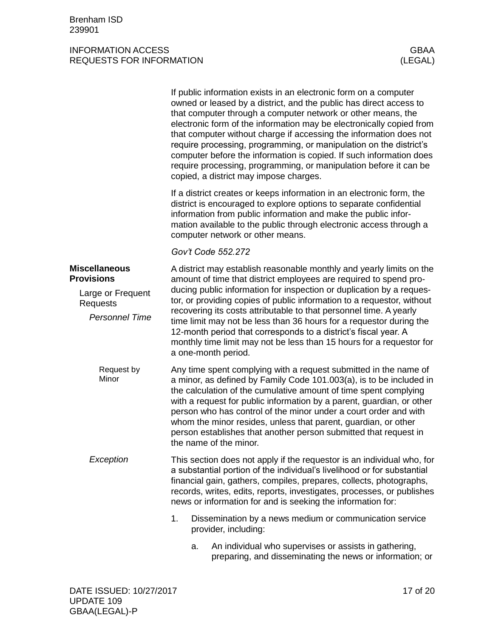<span id="page-16-1"></span><span id="page-16-0"></span>

|                                                                                                     | If public information exists in an electronic form on a computer<br>owned or leased by a district, and the public has direct access to<br>that computer through a computer network or other means, the<br>electronic form of the information may be electronically copied from<br>that computer without charge if accessing the information does not<br>require processing, programming, or manipulation on the district's<br>computer before the information is copied. If such information does<br>require processing, programming, or manipulation before it can be<br>copied, a district may impose charges. |
|-----------------------------------------------------------------------------------------------------|------------------------------------------------------------------------------------------------------------------------------------------------------------------------------------------------------------------------------------------------------------------------------------------------------------------------------------------------------------------------------------------------------------------------------------------------------------------------------------------------------------------------------------------------------------------------------------------------------------------|
|                                                                                                     | If a district creates or keeps information in an electronic form, the<br>district is encouraged to explore options to separate confidential<br>information from public information and make the public infor-<br>mation available to the public through electronic access through a<br>computer network or other means.                                                                                                                                                                                                                                                                                          |
|                                                                                                     | Gov't Code 552.272                                                                                                                                                                                                                                                                                                                                                                                                                                                                                                                                                                                               |
| <b>Miscellaneous</b><br><b>Provisions</b><br>Large or Frequent<br>Requests<br><b>Personnel Time</b> | A district may establish reasonable monthly and yearly limits on the<br>amount of time that district employees are required to spend pro-<br>ducing public information for inspection or duplication by a reques-<br>tor, or providing copies of public information to a requestor, without<br>recovering its costs attributable to that personnel time. A yearly<br>time limit may not be less than 36 hours for a requestor during the<br>12-month period that corresponds to a district's fiscal year. A<br>monthly time limit may not be less than 15 hours for a requestor for<br>a one-month period.       |
| Request by<br>Minor                                                                                 | Any time spent complying with a request submitted in the name of<br>a minor, as defined by Family Code 101.003(a), is to be included in<br>the calculation of the cumulative amount of time spent complying<br>with a request for public information by a parent, guardian, or other<br>person who has control of the minor under a court order and with<br>whom the minor resides, unless that parent, guardian, or other<br>person establishes that another person submitted that request in<br>the name of the minor.                                                                                         |
| Exception                                                                                           | This section does not apply if the requestor is an individual who, for<br>a substantial portion of the individual's livelihood or for substantial<br>financial gain, gathers, compiles, prepares, collects, photographs,<br>records, writes, edits, reports, investigates, processes, or publishes<br>news or information for and is seeking the information for:                                                                                                                                                                                                                                                |
|                                                                                                     | 1.<br>Dissemination by a news medium or communication service<br>provider, including:                                                                                                                                                                                                                                                                                                                                                                                                                                                                                                                            |
|                                                                                                     | An individual who supervises or assists in gathering,<br>a.<br>preparing, and disseminating the news or information; or                                                                                                                                                                                                                                                                                                                                                                                                                                                                                          |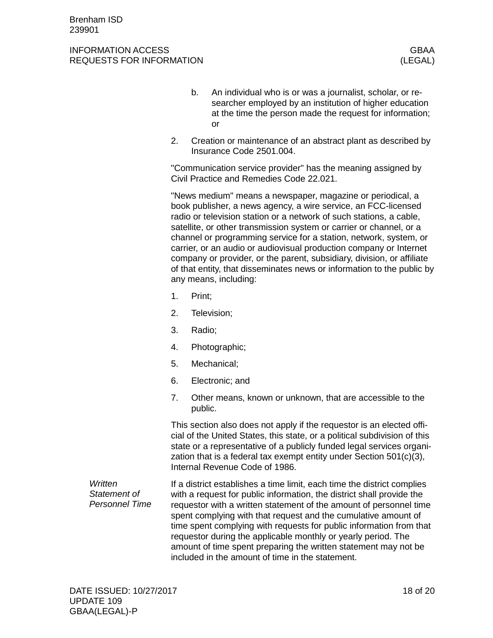#### INFORMATION ACCESS GBAA REQUESTS FOR INFORMATION (LEGAL)

- b. An individual who is or was a journalist, scholar, or researcher employed by an institution of higher education at the time the person made the request for information; or
- 2. Creation or maintenance of an abstract plant as described by Insurance Code 2501.004.

"Communication service provider" has the meaning assigned by Civil Practice and Remedies Code 22.021.

"News medium" means a newspaper, magazine or periodical, a book publisher, a news agency, a wire service, an FCC-licensed radio or television station or a network of such stations, a cable, satellite, or other transmission system or carrier or channel, or a channel or programming service for a station, network, system, or carrier, or an audio or audiovisual production company or Internet company or provider, or the parent, subsidiary, division, or affiliate of that entity, that disseminates news or information to the public by any means, including:

- 1. Print;
- 2. Television;
- 3. Radio;
- 4. Photographic;
- 5. Mechanical;
- 6. Electronic; and
- 7. Other means, known or unknown, that are accessible to the public.

This section also does not apply if the requestor is an elected official of the United States, this state, or a political subdivision of this state or a representative of a publicly funded legal services organization that is a federal tax exempt entity under Section 501(c)(3), Internal Revenue Code of 1986.

If a district establishes a time limit, each time the district complies with a request for public information, the district shall provide the requestor with a written statement of the amount of personnel time spent complying with that request and the cumulative amount of time spent complying with requests for public information from that requestor during the applicable monthly or yearly period. The amount of time spent preparing the written statement may not be included in the amount of time in the statement. *Written Statement of Personnel Time*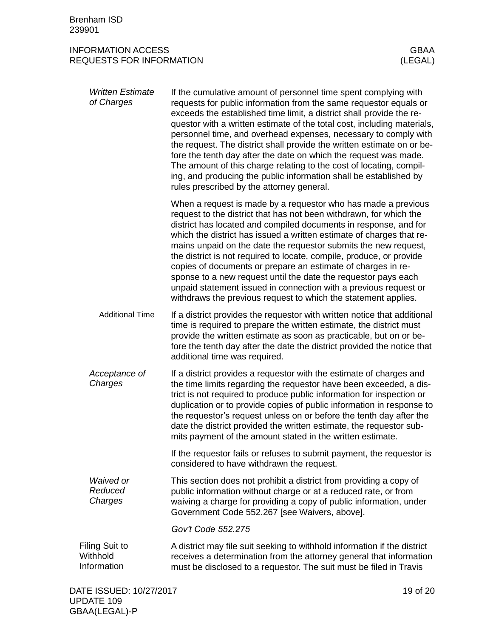<span id="page-18-0"></span>

| <b>Written Estimate</b><br>of Charges     | If the cumulative amount of personnel time spent complying with<br>requests for public information from the same requestor equals or<br>exceeds the established time limit, a district shall provide the re-<br>questor with a written estimate of the total cost, including materials,<br>personnel time, and overhead expenses, necessary to comply with<br>the request. The district shall provide the written estimate on or be-<br>fore the tenth day after the date on which the request was made.<br>The amount of this charge relating to the cost of locating, compil-<br>ing, and producing the public information shall be established by<br>rules prescribed by the attorney general.  |
|-------------------------------------------|----------------------------------------------------------------------------------------------------------------------------------------------------------------------------------------------------------------------------------------------------------------------------------------------------------------------------------------------------------------------------------------------------------------------------------------------------------------------------------------------------------------------------------------------------------------------------------------------------------------------------------------------------------------------------------------------------|
|                                           | When a request is made by a requestor who has made a previous<br>request to the district that has not been withdrawn, for which the<br>district has located and compiled documents in response, and for<br>which the district has issued a written estimate of charges that re-<br>mains unpaid on the date the requestor submits the new request,<br>the district is not required to locate, compile, produce, or provide<br>copies of documents or prepare an estimate of charges in re-<br>sponse to a new request until the date the requestor pays each<br>unpaid statement issued in connection with a previous request or<br>withdraws the previous request to which the statement applies. |
| <b>Additional Time</b>                    | If a district provides the requestor with written notice that additional<br>time is required to prepare the written estimate, the district must<br>provide the written estimate as soon as practicable, but on or be-<br>fore the tenth day after the date the district provided the notice that<br>additional time was required.                                                                                                                                                                                                                                                                                                                                                                  |
| Acceptance of<br>Charges                  | If a district provides a requestor with the estimate of charges and<br>the time limits regarding the requestor have been exceeded, a dis-<br>trict is not required to produce public information for inspection or<br>duplication or to provide copies of public information in response to<br>the requestor's request unless on or before the tenth day after the<br>date the district provided the written estimate, the requestor sub-<br>mits payment of the amount stated in the written estimate.                                                                                                                                                                                            |
|                                           | If the requestor fails or refuses to submit payment, the requestor is<br>considered to have withdrawn the request.                                                                                                                                                                                                                                                                                                                                                                                                                                                                                                                                                                                 |
| Waived or<br>Reduced<br>Charges           | This section does not prohibit a district from providing a copy of<br>public information without charge or at a reduced rate, or from<br>waiving a charge for providing a copy of public information, under<br>Government Code 552.267 [see Waivers, above].                                                                                                                                                                                                                                                                                                                                                                                                                                       |
|                                           | Gov't Code 552.275                                                                                                                                                                                                                                                                                                                                                                                                                                                                                                                                                                                                                                                                                 |
| Filing Suit to<br>Withhold<br>Information | A district may file suit seeking to withhold information if the district<br>receives a determination from the attorney general that information<br>must be disclosed to a requestor. The suit must be filed in Travis                                                                                                                                                                                                                                                                                                                                                                                                                                                                              |